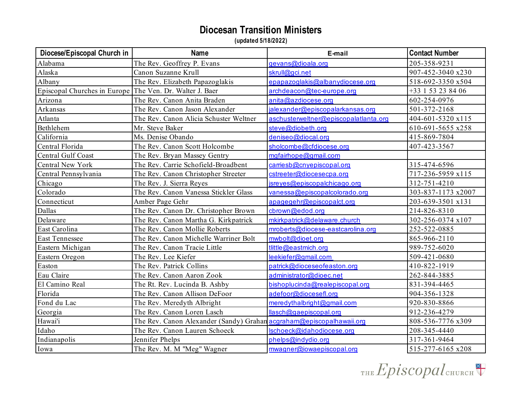| Diocese/Episcopal Church in                              | <b>Name</b>                                                          | E-mail                                | <b>Contact Number</b> |
|----------------------------------------------------------|----------------------------------------------------------------------|---------------------------------------|-----------------------|
| Alabama                                                  | The Rev. Geoffrey P. Evans                                           | gevans@dioala.org                     | 205-358-9231          |
| Alaska                                                   | Canon Suzanne Krull                                                  | skrull@gci.net                        | 907-452-3040 x230     |
| Albany                                                   | The Rev. Elizabeth Papazoglakis                                      | epapazoglakis@albanydiocese.org       | 518-692-3350 x504     |
| Episcopal Churches in Europe The Ven. Dr. Walter J. Baer |                                                                      | archdeacon@tec-europe.org             | +33 1 53 23 84 06     |
| Arizona                                                  | The Rev. Canon Anita Braden                                          | anita@azdiocese.org                   | 602-254-0976          |
| Arkansas                                                 | The Rev. Canon Jason Alexander                                       | jalexander@episcopalarkansas.org      | 501-372-2168          |
| Atlanta                                                  | The Rev. Canon Alicia Schuster Weltner                               | aschusterweltner@episcopalatlanta.org | 404-601-5320 x115     |
| Bethlehem                                                | Mr. Steve Baker                                                      | steve@diobeth.org                     | 610-691-5655 x258     |
| California                                               | Ms. Denise Obando                                                    | deniseo@diocal.org                    | 415-869-7804          |
| Central Florida                                          | The Rev. Canon Scott Holcombe                                        | sholcombe@cfdiocese.org               | 407-423-3567          |
| <b>Central Gulf Coast</b>                                | The Rev. Bryan Massey Gentry                                         | mgfairhope@gmail.com                  |                       |
| <b>Central New York</b>                                  | The Rev. Carrie Schofield-Broadbent                                  | carriesb@cnyepiscopal.org             | 315-474-6596          |
| Central Pennsylvania                                     | The Rev. Canon Christopher Streeter                                  | cstreeter@diocesecpa.org              | 717-236-5959 x115     |
| Chicago                                                  | The Rev. J. Sierra Reyes                                             | jsreyes@episcopalchicago.org          | 312-751-4210          |
| Colorado                                                 | The Rev. Canon Vanessa Stickler Glass                                | vanessa@episcopalcolorado.org         | 303-837-1173 x2007    |
| Connecticut                                              | Amber Page Gehr                                                      | apagegehr@episcopalct.org             | 203-639-3501 x131     |
| Dallas                                                   | The Rev. Canon Dr. Christopher Brown                                 | cbrown@edod.org                       | 214-826-8310          |
| Delaware                                                 | The Rev. Canon Martha G. Kirkpatrick                                 | mkirkpatrick@delaware.church          | 302-256-0374 x107     |
| East Carolina                                            | The Rev. Canon Mollie Roberts                                        | mroberts@diocese-eastcarolina.org     | 252-522-0885          |
| <b>East Tennessee</b>                                    | The Rev. Canon Michelle Warriner Bolt                                | mwbolt@dioet.org                      | 865-966-2110          |
| Eastern Michigan                                         | The Rev. Canon Tracie Little                                         | tlittle@eastmich.org                  | 989-752-6020          |
| Eastern Oregon                                           | The Rev. Lee Kiefer                                                  | leekiefer@gmail.com                   | 509-421-0680          |
| Easton                                                   | The Rev. Patrick Collins                                             | patrick@dioceseofeaston.org           | 410-822-1919          |
| Eau Claire                                               | The Rev. Canon Aaron Zook                                            | administrator@dioec.net               | 262-844-3885          |
| El Camino Real                                           | The Rt. Rev. Lucinda B. Ashby                                        | bishoplucinda@realepiscopal.org       | 831-394-4465          |
| Florida                                                  | The Rev. Canon Allison DeFoor                                        | adefoor@diocesefl.org                 | 904-356-1328          |
| Fond du Lac                                              | The Rev. Meredyth Albright                                           | meredythalbright@gmail.com            | 920-830-8866          |
| Georgia                                                  | The Rev. Canon Loren Lasch                                           | llasch@gaepiscopal.org                | 912-236-4279          |
| Hawai'i                                                  | The Rev. Canon Alexander (Sandy) Grahan acgraham@episcopalhawaii.org |                                       | 808-536-7776 x309     |
| Idaho                                                    | The Rev. Canon Lauren Schoeck                                        | lschoeck@idahodiocese.org             | 208-345-4440          |
| Indianapolis                                             | Jennifer Phelps                                                      | phelps@indydio.org                    | 317-361-9464          |
| Iowa                                                     | The Rev. M. M "Meg" Wagner                                           | mwagner@iowaepiscopal.org             | 515-277-6165 x208     |

THE Episcopal CHURCH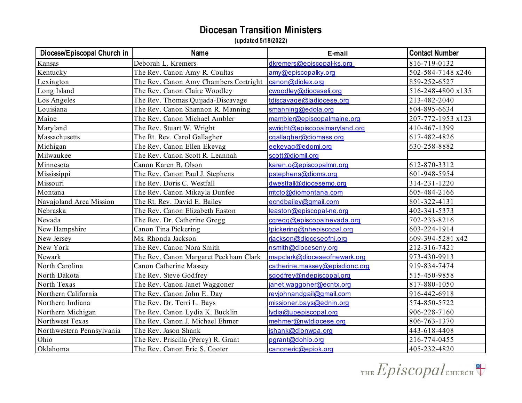| Diocese/Episcopal Church in | <b>Name</b>                           | E-mail                         | <b>Contact Number</b> |
|-----------------------------|---------------------------------------|--------------------------------|-----------------------|
| Kansas                      | Deborah L. Kremers                    | dkremers@episcopal-ks.org      | 816-719-0132          |
| Kentucky                    | The Rev. Canon Amy R. Coultas         | amy@episcopalky.org            | 502-584-7148 x246     |
| Lexington                   | The Rev. Canon Amy Chambers Cortright | canon@diolex.org               | 859-252-6527          |
| Long Island                 | The Rev. Canon Claire Woodley         | cwoodley@dioceseli.org         | 516-248-4800 x135     |
| Los Angeles                 | The Rev. Thomas Quijada-Discavage     | tdiscavage@ladiocese.org       | 213-482-2040          |
| Louisiana                   | The Rev. Canon Shannon R. Manning     | smanning@edola.org             | 504-895-6634          |
| Maine                       | The Rev. Canon Michael Ambler         | mambler@episcopalmaine.org     | 207-772-1953 x123     |
| Maryland                    | The Rev. Stuart W. Wright             | swright@episcopalmaryland.org  | 410-467-1399          |
| Massachusetts               | The Rt. Rev. Carol Gallagher          | cgallagher@diomass.org         | 617-482-4826          |
| Michigan                    | The Rev. Canon Ellen Ekevag           | eekevag@edomi.org              | 630-258-8882          |
| Milwaukee                   | The Rev. Canon Scott R. Leannah       | scott@diomil.org               |                       |
| Minnesota                   | Canon Karen B. Olson                  | karen.o@episcopalmn.org        | 612-870-3312          |
| Mississippi                 | The Rev. Canon Paul J. Stephens       | pstephens@dioms.org            | 601-948-5954          |
| Missouri                    | The Rev. Doris C. Westfall            | dwestfall@diocesemo.org        | 314-231-1220          |
| Montana                     | The Rev. Canon Mikayla Dunfee         | mtcto@diomontana.com           | 605-484-2166          |
| Navajoland Area Mission     | The Rt. Rev. David E. Bailey          | ecndbailey@gmail.com           | 801-322-4131          |
| Nebraska                    | The Rev. Canon Elizabeth Easton       | leaston@episcopal-ne.org       | 402-341-5373          |
| Nevada                      | The Rev. Dr. Catherine Gregg          | cgregg@episcopalnevada.org     | 702-233-8216          |
| New Hampshire               | Canon Tina Pickering                  | tpickering@nhepiscopal.org     | 603-224-1914          |
| New Jersey                  | Ms. Rhonda Jackson                    | rjackson@dioceseofnj.org       | 609-394-5281 x42      |
| New York                    | The Rev. Canon Nora Smith             | nsmith@dioceseny.org           | 212-316-7421          |
| Newark                      | The Rev. Canon Margaret Peckham Clark | mapclark@dioceseofnewark.org   | 973-430-9913          |
| North Carolina              | <b>Canon Catherine Massey</b>         | catherine.massey@episdionc.org | 919-834-7474          |
| North Dakota                | The Rev. Steve Godfrey                | sgodfrey@ndepiscopal.org       | 515-450-9858          |
| North Texas                 | The Rev. Canon Janet Waggoner         | janet.waggoner@ecntx.org       | 817-880-1050          |
| Northern California         | The Rev. Canon John E. Day            | revjohnandgail@gmail.com       | 916-442-6918          |
| Northern Indiana            | The Rev. Dr. Terri L. Bays            | missioner.bays@ednin.org       | 574-850-5722          |
| Northern Michigan           | The Rev. Canon Lydia K. Bucklin       | lydia@upepiscopal.org          | 906-228-7160          |
| Northwest Texas             | The Rev. Canon J. Michael Ehmer       | mehmer@nwtdiocese.org          | 806-763-1370          |
| Northwestern Pennsylvania   | The Rev. Jason Shank                  | jshank@dionwpa.org             | 443-618-4408          |
| Ohio                        | The Rev. Priscilla (Percy) R. Grant   | pgrant@dohio.org               | 216-774-0455          |
| Oklahoma                    | The Rev. Canon Eric S. Cooter         | canoneric@epiok.org            | 405-232-4820          |

THE Episcopal CHURCH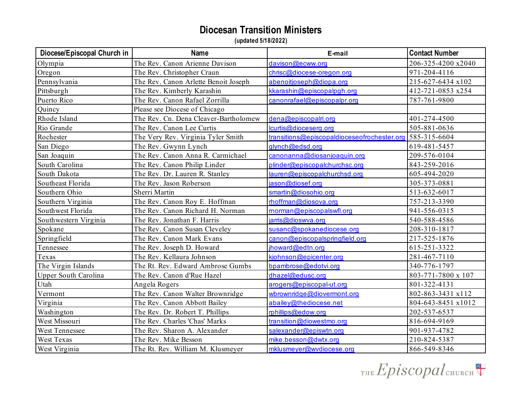| Diocese/Episcopal Church in | <b>Name</b>                           | E-mail                                      | <b>Contact Number</b> |
|-----------------------------|---------------------------------------|---------------------------------------------|-----------------------|
| Olympia                     | The Rev. Canon Arienne Davison        | davison@ecww.org                            | 206-325-4200 x2040    |
| Oregon                      | The Rev. Christopher Craun            | chrisc@diocese-oregon.org                   | 971-204-4116          |
| Pennsylvania                | The Rev. Canon Arlette Benoit Joseph  | abenoitjoseph@diopa.org                     | 215-627-6434 x102     |
| Pittsburgh                  | The Rev. Kimberly Karashin            | kkarashin@episcopalpgh.org                  | 412-721-0853 x254     |
| Puerto Rico                 | The Rev. Canon Rafael Zorrilla        | canonrafael@episcopalpr.org                 | 787-761-9800          |
| Quincy                      | Please see Diocese of Chicago         |                                             |                       |
| Rhode Island                | The Rev. Cn. Dena Cleaver-Bartholomew | dena@episcopalri.org                        | 401-274-4500          |
| Rio Grande                  | The Rev. Canon Lee Curtis             | lcurtis@dioceserg.org                       | 505-881-0636          |
| Rochester                   | The Very Rev. Virginia Tyler Smith    | transitions@episcopaldioceseofrochester.org | 585-315-6604          |
| San Diego                   | The Rev. Gwynn Lynch                  | glynch@edsd.org                             | 619-481-5457          |
| San Joaquin                 | The Rev. Canon Anna R. Carmichael     | canonanna@diosanjoaquin.org                 | 209-576-0104          |
| South Carolina              | The Rev. Canon Philip Linder          | plinder@episcopalchurchsc.org               | 843-259-2016          |
| South Dakota                | The Rev. Dr. Lauren R. Stanley        | lauren@episcopalchurchsd.org                | 605-494-2020          |
| Southeast Florida           | The Rev. Jason Roberson               | jason@diosef.org                            | 305-373-0881          |
| Southern Ohio               | Sherri Martin                         | smartin@diosohio.org                        | 513-632-6017          |
| Southern Virginia           | The Rev. Canon Roy E. Hoffman         | rhoffman@diosova.org                        | 757-213-3390          |
| Southwest Florida           | The Rev. Canon Richard H. Norman      | morman@episcopalswfl.org                    | 941-556-0315          |
| Southwestern Virginia       | The Rev. Jonathan F. Harris           | jarris@dioswya.org                          | 540-588-4586          |
| Spokane                     | The Rev. Canon Susan Cleveley         | susanc@spokanediocese.org                   | 208-310-1817          |
| Springfield                 | The Rev. Canon Mark Evans             | canon@episcopalspringfield.org              | 217-525-1876          |
| Tennessee                   | The Rev. Joseph D. Howard             | jhoward@edtn.org                            | 615-251-3322          |
| Texas                       | The Rev. Kellaura Johnson             | kjohnson@epicenter.org                      | 281-467-7110          |
| The Virgin Islands          | The Rt. Rev. Edward Ambrose Gumbs     | bpambrose@edotvi.org                        | 340-776-1797          |
| Upper South Carolina        | The Rev. Canon d'Rue Hazel            | dhazel@edusc.org                            | 803-771-7800 x 107    |
| Utah                        | Angela Rogers                         | arogers@episcopal-ut.org                    | 801-322-4131          |
| Vermont                     | The Rev. Canon Walter Brownridge      | wbrownridge@diovermont.org                  | 802-863-3431 x112     |
| Virginia                    | The Rev. Canon Abbott Bailey          | abailey@thediocese.net                      | 804-643-8451 x1012    |
| Washington                  | The Rev. Dr. Robert T. Phillips       | rphillips@edow.org                          | 202-537-6537          |
| West Missouri               | The Rev. Charles 'Chas' Marks         | transition@diowestmo.org                    | 816-694-9169          |
| West Tennessee              | The Rev. Sharon A. Alexander          | salexander@episwtn.org                      | 901-937-4782          |
| <b>West Texas</b>           | The Rev. Mike Besson                  | mike.besson@dwtx.org                        | 210-824-5387          |
| West Virginia               | The Rt. Rev. William M. Klusmeyer     | mklusmeyer@wvdiocese.org                    | 866-549-8346          |

THE Episcopal CHURCH